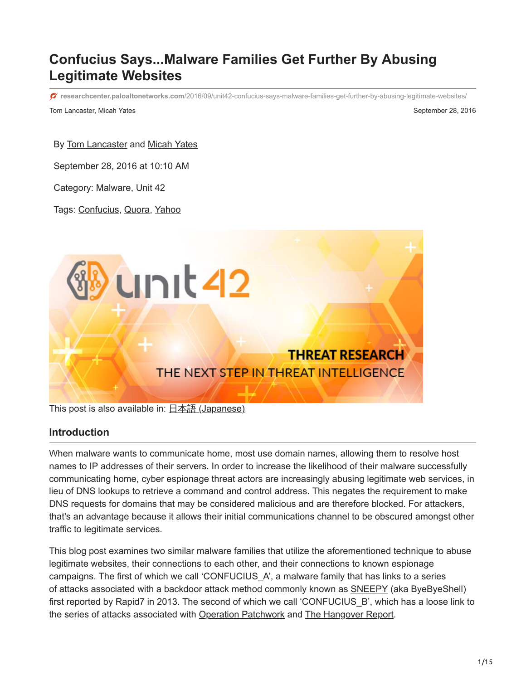# **Confucius Says...Malware Families Get Further By Abusing Legitimate Websites**

**researchcenter.paloaltonetworks.com**[/2016/09/unit42-confucius-says-malware-families-get-further-by-abusing-legitimate-websites/](https://researchcenter.paloaltonetworks.com/2016/09/unit42-confucius-says-malware-families-get-further-by-abusing-legitimate-websites/)

Tom Lancaster, Micah Yates September 28, 2016

By [Tom Lancaster](https://unit42.paloaltonetworks.com/author/tom-lancaster/) and [Micah Yates](https://unit42.paloaltonetworks.com/author/micah-yates/)

September 28, 2016 at 10:10 AM

Category: [Malware](https://unit42.paloaltonetworks.com/category/malware-2/), [Unit 42](https://unit42.paloaltonetworks.com/category/unit42/)

Tags: [Confucius](https://unit42.paloaltonetworks.com/tag/confucius/), [Quora,](https://unit42.paloaltonetworks.com/tag/quora/) [Yahoo](https://unit42.paloaltonetworks.com/tag/yahoo/)



This post is also available in:  $\frac{\Box \triangle \bar{a}}{\Box a}$  [\(Japanese\)](https://unit42.paloaltonetworks.jp/unit42-confucius-says-malware-families-get-further-by-abusing-legitimate-websites/)

#### **Introduction**

When malware wants to communicate home, most use domain names, allowing them to resolve host names to IP addresses of their servers. In order to increase the likelihood of their malware successfully communicating home, cyber espionage threat actors are increasingly abusing legitimate web services, in lieu of DNS lookups to retrieve a command and control address. This negates the requirement to make DNS requests for domains that may be considered malicious and are therefore blocked. For attackers, that's an advantage because it allows their initial communications channel to be obscured amongst other traffic to legitimate services.

This blog post examines two similar malware families that utilize the aforementioned technique to abuse legitimate websites, their connections to each other, and their connections to known espionage campaigns. The first of which we call 'CONFUCIUS\_A', a malware family that has links to a series of attacks associated with a backdoor attack method commonly known as **SNEEPY** (aka ByeByeShell) first reported by Rapid7 in 2013. The second of which we call 'CONFUCIUS B', which has a loose link to the series of attacks associated with [Operation Patchwork](https://www.cymmetria.com/wp-content/uploads/2016/07/Unveiling-Patchwork.pdf) and [The Hangover Report](https://www.bluecoat.com/security-blog/2013-05-20/hangover-report).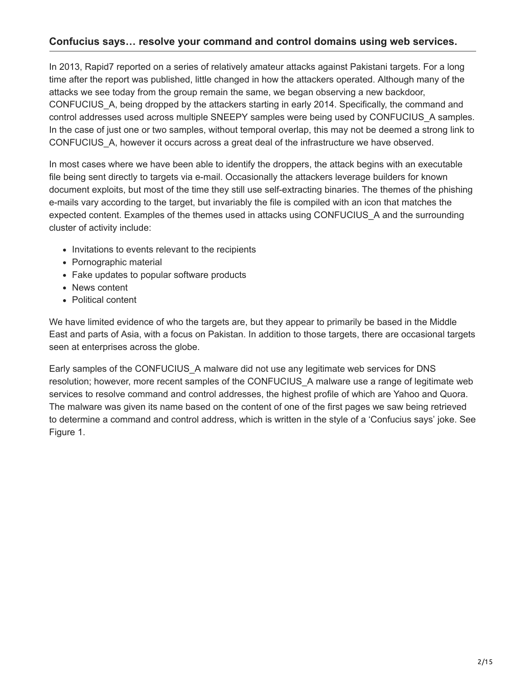### **Confucius says… resolve your command and control domains using web services.**

In 2013, Rapid7 reported on a series of relatively amateur attacks against Pakistani targets. For a long time after the report was published, little changed in how the attackers operated. Although many of the attacks we see today from the group remain the same, we began observing a new backdoor, CONFUCIUS\_A, being dropped by the attackers starting in early 2014. Specifically, the command and control addresses used across multiple SNEEPY samples were being used by CONFUCIUS\_A samples. In the case of just one or two samples, without temporal overlap, this may not be deemed a strong link to CONFUCIUS\_A, however it occurs across a great deal of the infrastructure we have observed.

In most cases where we have been able to identify the droppers, the attack begins with an executable file being sent directly to targets via e-mail. Occasionally the attackers leverage builders for known document exploits, but most of the time they still use self-extracting binaries. The themes of the phishing e-mails vary according to the target, but invariably the file is compiled with an icon that matches the expected content. Examples of the themes used in attacks using CONFUCIUS\_A and the surrounding cluster of activity include:

- Invitations to events relevant to the recipients
- Pornographic material
- Fake updates to popular software products
- News content
- Political content

We have limited evidence of who the targets are, but they appear to primarily be based in the Middle East and parts of Asia, with a focus on Pakistan. In addition to those targets, there are occasional targets seen at enterprises across the globe.

Early samples of the CONFUCIUS\_A malware did not use any legitimate web services for DNS resolution; however, more recent samples of the CONFUCIUS\_A malware use a range of legitimate web services to resolve command and control addresses, the highest profile of which are Yahoo and Quora. The malware was given its name based on the content of one of the first pages we saw being retrieved to determine a command and control address, which is written in the style of a 'Confucius says' joke. See Figure 1.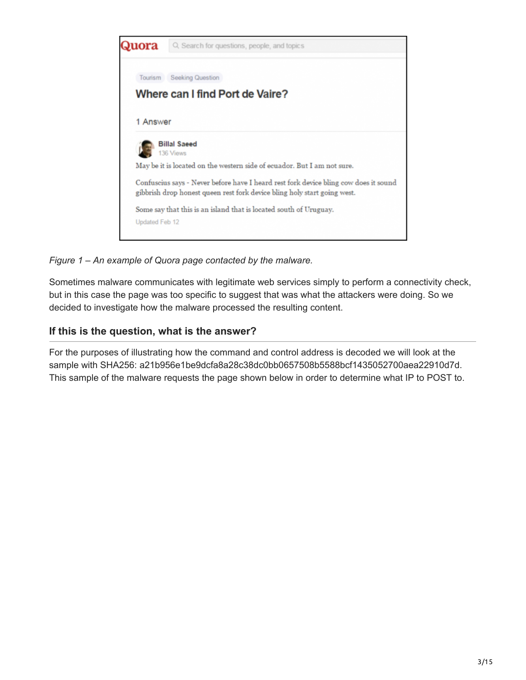

*Figure 1 – An example of Quora page contacted by the malware.*

Sometimes malware communicates with legitimate web services simply to perform a connectivity check, but in this case the page was too specific to suggest that was what the attackers were doing. So we decided to investigate how the malware processed the resulting content.

### **If this is the question, what is the answer?**

For the purposes of illustrating how the command and control address is decoded we will look at the sample with SHA256: a21b956e1be9dcfa8a28c38dc0bb0657508b5588bcf1435052700aea22910d7d. This sample of the malware requests the page shown below in order to determine what IP to POST to.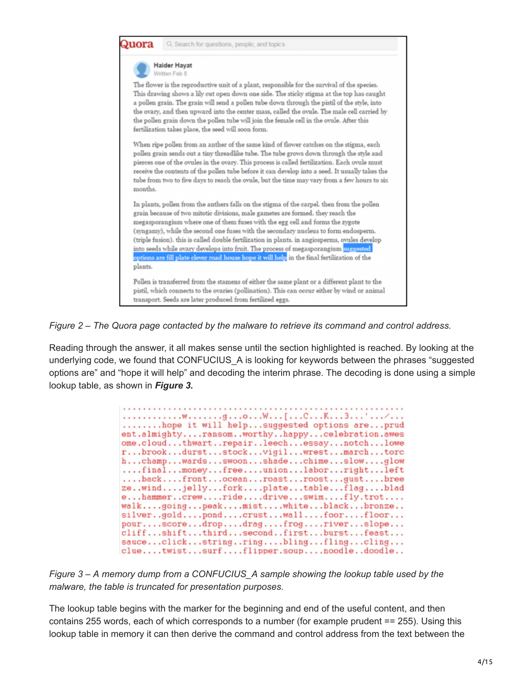

*Figure 2 – The Quora page contacted by the malware to retrieve its command and control address.*

Reading through the answer, it all makes sense until the section highlighted is reached. By looking at the underlying code, we found that CONFUCIUS A is looking for keywords between the phrases "suggested options are" and "hope it will help" and decoding the interim phrase. The decoding is done using a simple lookup table, as shown in *Figure 3.*

| hope it will helpsuggested options areprud<br>ent.almightyransomworthyhappycelebration.awes<br>ome.cloudthwartrepairleechessaynotchlowe<br>rbrookdurststockvigilwrestmarchtorc<br>hchampwardsswoonshadechimeslowglow<br>finalmoneyfreeunionlaborrightleft<br>backfrontoceanroastroostgustbree<br>zewindjellyforkplatetableflagblad<br>ehammercrewridedriveswimfly.trot<br>walkgoingpeakmistwhiteblackbronze<br>silvergoldpondcrustwallfoorfloor<br>pourscoredropdragfrogriverslope<br>cliffshiftthirdsecondfirstburstfeast<br>sauceclickstringringblingflingcling<br>cluetwistsurfflipper.soupnoodledoodle |
|------------------------------------------------------------------------------------------------------------------------------------------------------------------------------------------------------------------------------------------------------------------------------------------------------------------------------------------------------------------------------------------------------------------------------------------------------------------------------------------------------------------------------------------------------------------------------------------------------------|
|------------------------------------------------------------------------------------------------------------------------------------------------------------------------------------------------------------------------------------------------------------------------------------------------------------------------------------------------------------------------------------------------------------------------------------------------------------------------------------------------------------------------------------------------------------------------------------------------------------|

*Figure 3 – A memory dump from a CONFUCIUS\_A sample showing the lookup table used by the malware, the table is truncated for presentation purposes.*

The lookup table begins with the marker for the beginning and end of the useful content, and then contains 255 words, each of which corresponds to a number (for example prudent == 255). Using this lookup table in memory it can then derive the command and control address from the text between the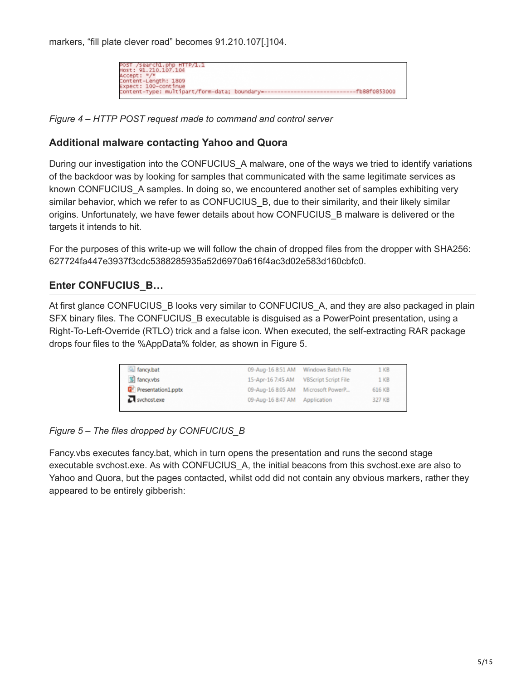markers, "fill plate clever road" becomes 91.210.107[.]104.



*Figure 4 – HTTP POST request made to command and control server*

### **Additional malware contacting Yahoo and Quora**

During our investigation into the CONFUCIUS A malware, one of the ways we tried to identify variations of the backdoor was by looking for samples that communicated with the same legitimate services as known CONFUCIUS A samples. In doing so, we encountered another set of samples exhibiting very similar behavior, which we refer to as CONFUCIUS B, due to their similarity, and their likely similar origins. Unfortunately, we have fewer details about how CONFUCIUS\_B malware is delivered or the targets it intends to hit.

For the purposes of this write-up we will follow the chain of dropped files from the dropper with SHA256: 627724fa447e3937f3cdc5388285935a52d6970a616f4ac3d02e583d160cbfc0.

## **Enter CONFUCIUS\_B…**

At first glance CONFUCIUS B looks very similar to CONFUCIUS A, and they are also packaged in plain SFX binary files. The CONFUCIUS\_B executable is disguised as a PowerPoint presentation, using a Right-To-Left-Override (RTLO) trick and a false icon. When executed, the self-extracting RAR package drops four files to the %AppData% folder, as shown in Figure 5.

| fancy.bat                                |                                    | 09-Aug-16 8:51 AM Windows Batch File | 1 KB            |
|------------------------------------------|------------------------------------|--------------------------------------|-----------------|
| 5 fancy.vbs                              | 15-Apr-16 7:45 AM                  | <b>VBScript Script File</b>          | 1 <sub>KB</sub> |
| <b>D</b> <sup>P</sup> Presentation1.pptx | 09-Aug-16 8:05 AM Microsoft PowerP |                                      | 616 KB          |
| sychost.exe                              | 09-Aug-16 8:47 AM Application      |                                      | 327 KB          |

*Figure 5 – The files dropped by CONFUCIUS\_B*

Fancy.vbs executes fancy.bat, which in turn opens the presentation and runs the second stage executable svchost.exe. As with CONFUCIUS\_A, the initial beacons from this svchost.exe are also to Yahoo and Quora, but the pages contacted, whilst odd did not contain any obvious markers, rather they appeared to be entirely gibberish: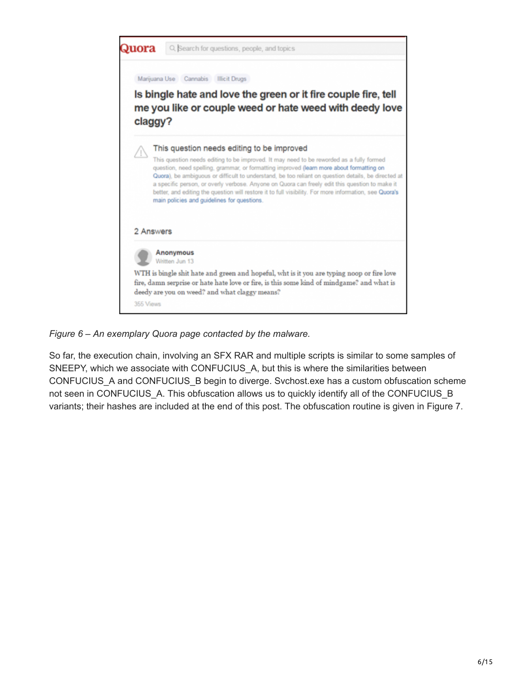

#### *Figure 6 – An exemplary Quora page contacted by the malware.*

So far, the execution chain, involving an SFX RAR and multiple scripts is similar to some samples of SNEEPY, which we associate with CONFUCIUS\_A, but this is where the similarities between CONFUCIUS\_A and CONFUCIUS\_B begin to diverge. Svchost.exe has a custom obfuscation scheme not seen in CONFUCIUS A. This obfuscation allows us to quickly identify all of the CONFUCIUS B variants; their hashes are included at the end of this post. The obfuscation routine is given in Figure 7.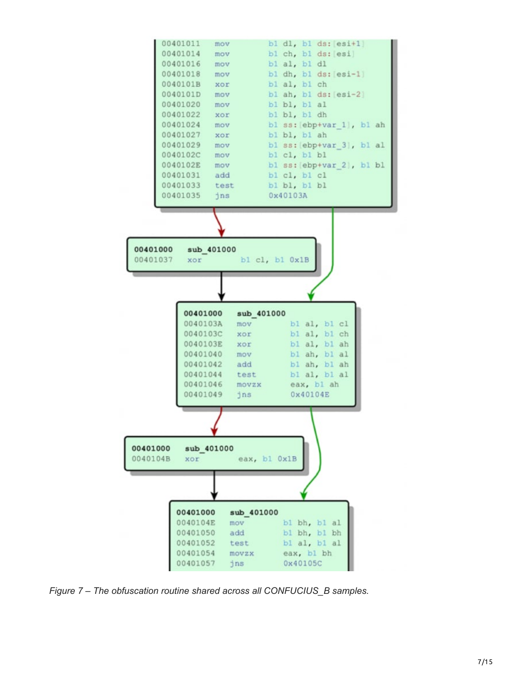

*Figure 7 – The obfuscation routine shared across all CONFUCIUS\_B samples.*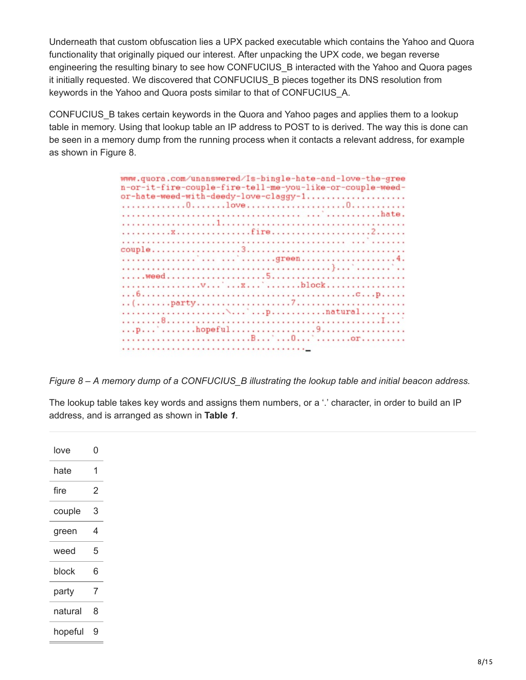Underneath that custom obfuscation lies a UPX packed executable which contains the Yahoo and Quora functionality that originally piqued our interest. After unpacking the UPX code, we began reverse engineering the resulting binary to see how CONFUCIUS\_B interacted with the Yahoo and Quora pages it initially requested. We discovered that CONFUCIUS\_B pieces together its DNS resolution from keywords in the Yahoo and Quora posts similar to that of CONFUCIUS\_A.

CONFUCIUS\_B takes certain keywords in the Quora and Yahoo pages and applies them to a lookup table in memory. Using that lookup table an IP address to POST to is derived. The way this is done can be seen in a memory dump from the running process when it contacts a relevant address, for example as shown in Figure 8.

| www.quora.com/unanswered/Is-bingle-hate-and-love-the-gree<br>n-or-it-fire-couple-fire-tell-me-you-like-or-couple-weed- |
|------------------------------------------------------------------------------------------------------------------------|
| or-hate-weed-with-deedy-love-claggy-1                                                                                  |
|                                                                                                                        |
|                                                                                                                        |
|                                                                                                                        |
|                                                                                                                        |
|                                                                                                                        |
| <sup>1</sup> <sup>1</sup> green4.                                                                                      |
|                                                                                                                        |
|                                                                                                                        |
|                                                                                                                        |
|                                                                                                                        |
|                                                                                                                        |
|                                                                                                                        |
|                                                                                                                        |
|                                                                                                                        |
|                                                                                                                        |
|                                                                                                                        |

*Figure 8 – A memory dump of a CONFUCIUS\_B illustrating the lookup table and initial beacon address.*

The lookup table takes key words and assigns them numbers, or a '.' character, in order to build an IP address, and is arranged as shown in **Table** *1*.

| love    | Ω |
|---------|---|
| hate    | 1 |
| fire    | 2 |
| couple  | 3 |
| green   | 4 |
| weed    | 5 |
| block   | 6 |
| party   | 7 |
| natural | 8 |
| hopeful | Й |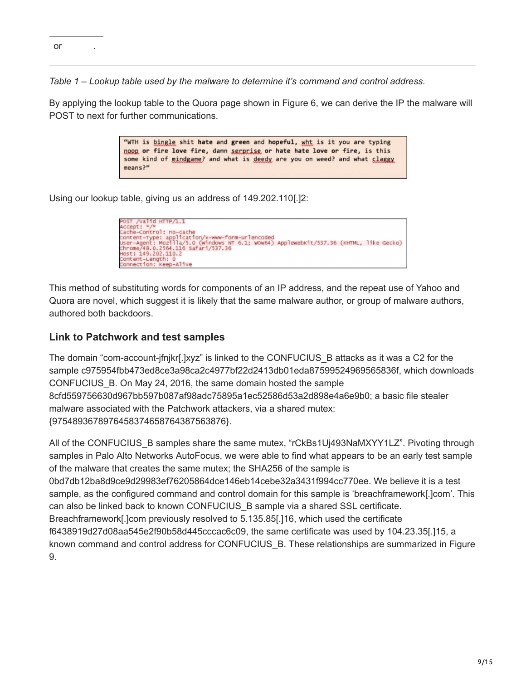*Table 1 – Lookup table used by the malware to determine it's command and control address.*

By applying the lookup table to the Quora page shown in Figure 6, we can derive the IP the malware will POST to next for further communications.

> "WTH is bingle shit hate and green and hopeful, wht is it you are typing noon or fire love fire, damn serprise or hate hate love or fire, is this some kind of mindgame? and what is deedy are you on weed? and what claggy means?"

Using our lookup table, giving us an address of 149.202.110[.]2:



This method of substituting words for components of an IP address, and the repeat use of Yahoo and Quora are novel, which suggest it is likely that the same malware author, or group of malware authors, authored both backdoors.

### **Link to Patchwork and test samples**

The domain "com-account-jfnjkr[.]xyz" is linked to the CONFUCIUS\_B attacks as it was a C2 for the sample c975954fbb473ed8ce3a98ca2c4977bf22d2413db01eda87599524969565836f, which downloads CONFUCIUS\_B. On May 24, 2016, the same domain hosted the sample 8cfd559756630d967bb597b087af98adc75895a1ec52586d53a2d898e4a6e9b0; a basic file stealer malware associated with the Patchwork attackers, via a shared mutex: {9754893678976458374658764387563876}.

All of the CONFUCIUS\_B samples share the same mutex, "rCkBs1Uj493NaMXYY1LZ". Pivoting through samples in Palo Alto Networks AutoFocus, we were able to find what appears to be an early test sample of the malware that creates the same mutex; the SHA256 of the sample is 0bd7db12ba8d9ce9d29983ef76205864dce146eb14cebe32a3431f994cc770ee. We believe it is a test sample, as the configured command and control domain for this sample is 'breachframework[.]com'. This can also be linked back to known CONFUCIUS\_B sample via a shared SSL certificate. Breachframework[.]com previously resolved to 5.135.85[.]16, which used the certificate f6438919d27d08aa545e2f90b58d445cccac6c09, the same certificate was used by 104.23.35[.]15, a known command and control address for CONFUCIUS\_B. These relationships are summarized in Figure 9.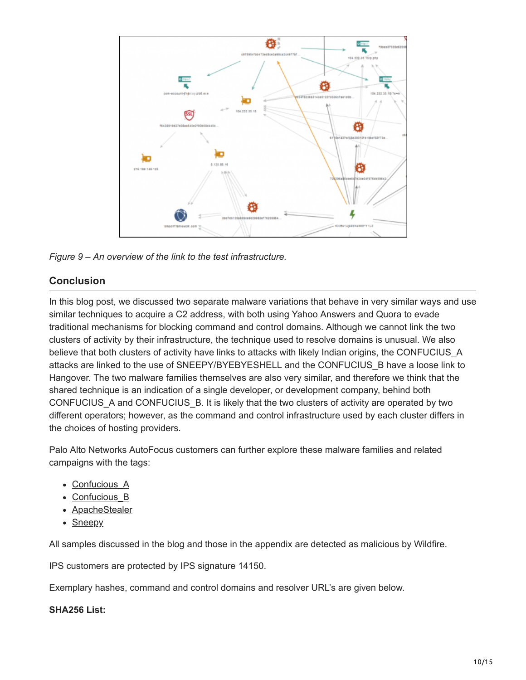

*Figure 9 – An overview of the link to the test infrastructure.*

### **Conclusion**

In this blog post, we discussed two separate malware variations that behave in very similar ways and use similar techniques to acquire a C2 address, with both using Yahoo Answers and Quora to evade traditional mechanisms for blocking command and control domains. Although we cannot link the two clusters of activity by their infrastructure, the technique used to resolve domains is unusual. We also believe that both clusters of activity have links to attacks with likely Indian origins, the CONFUCIUS A attacks are linked to the use of SNEEPY/BYEBYESHELL and the CONFUCIUS\_B have a loose link to Hangover. The two malware families themselves are also very similar, and therefore we think that the shared technique is an indication of a single developer, or development company, behind both CONFUCIUS\_A and CONFUCIUS\_B. It is likely that the two clusters of activity are operated by two different operators; however, as the command and control infrastructure used by each cluster differs in the choices of hosting providers.

Palo Alto Networks AutoFocus customers can further explore these malware families and related campaigns with the tags:

- Confucious A
- Confucious B
- · **[ApacheStealer](https://autofocus.paloaltonetworks.com/#/tag/Unit42.ApacheStealer)**
- [Sneepy](https://autofocus.paloaltonetworks.com/#/tag/Unit42.Sneepy)

All samples discussed in the blog and those in the appendix are detected as malicious by Wildfire.

IPS customers are protected by IPS signature 14150.

Exemplary hashes, command and control domains and resolver URL's are given below.

#### **SHA256 List:**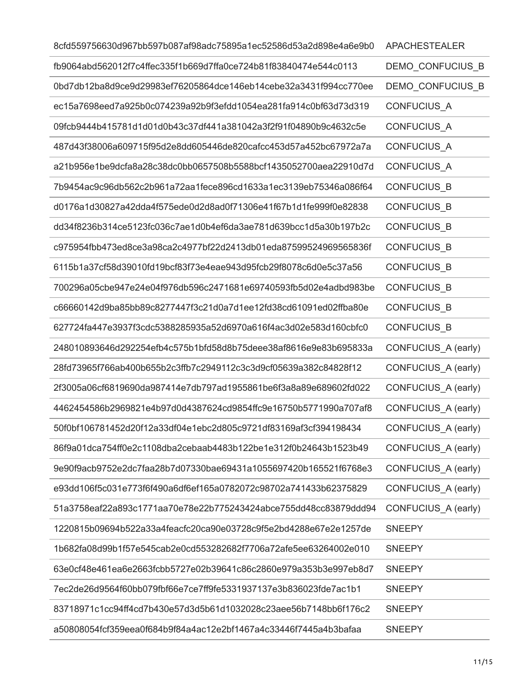| 8cfd559756630d967bb597b087af98adc75895a1ec52586d53a2d898e4a6e9b0 | <b>APACHESTEALER</b> |
|------------------------------------------------------------------|----------------------|
| fb9064abd562012f7c4ffec335f1b669d7ffa0ce724b81f83840474e544c0113 | DEMO_CONFUCIUS_B     |
| 0bd7db12ba8d9ce9d29983ef76205864dce146eb14cebe32a3431f994cc770ee | DEMO CONFUCIUS B     |
| ec15a7698eed7a925b0c074239a92b9f3efdd1054ea281fa914c0bf63d73d319 | CONFUCIUS_A          |
| 09fcb9444b415781d1d01d0b43c37df441a381042a3f2f91f04890b9c4632c5e | <b>CONFUCIUS A</b>   |
| 487d43f38006a609715f95d2e8dd605446de820cafcc453d57a452bc67972a7a | CONFUCIUS_A          |
| a21b956e1be9dcfa8a28c38dc0bb0657508b5588bcf1435052700aea22910d7d | CONFUCIUS_A          |
| 7b9454ac9c96db562c2b961a72aa1fece896cd1633a1ec3139eb75346a086f64 | CONFUCIUS_B          |
| d0176a1d30827a42dda4f575ede0d2d8ad0f71306e41f67b1d1fe999f0e82838 | <b>CONFUCIUS B</b>   |
| dd34f8236b314ce5123fc036c7ae1d0b4ef6da3ae781d639bcc1d5a30b197b2c | <b>CONFUCIUS B</b>   |
| c975954fbb473ed8ce3a98ca2c4977bf22d2413db01eda87599524969565836f | CONFUCIUS_B          |
| 6115b1a37cf58d39010fd19bcf83f73e4eae943d95fcb29f8078c6d0e5c37a56 | CONFUCIUS_B          |
| 700296a05cbe947e24e04f976db596c2471681e69740593fb5d02e4adbd983be | <b>CONFUCIUS B</b>   |
| c66660142d9ba85bb89c8277447f3c21d0a7d1ee12fd38cd61091ed02ffba80e | <b>CONFUCIUS B</b>   |
| 627724fa447e3937f3cdc5388285935a52d6970a616f4ac3d02e583d160cbfc0 | CONFUCIUS_B          |
| 248010893646d292254efb4c575b1bfd58d8b75deee38af8616e9e83b695833a | CONFUCIUS_A (early)  |
| 28fd73965f766ab400b655b2c3ffb7c2949112c3c3d9cf05639a382c84828f12 | CONFUCIUS_A (early)  |
| 2f3005a06cf6819690da987414e7db797ad1955861be6f3a8a89e689602fd022 | CONFUCIUS A (early)  |
| 4462454586b2969821e4b97d0d4387624cd9854ffc9e16750b5771990a707af8 | CONFUCIUS A (early)  |
| 50f0bf106781452d20f12a33df04e1ebc2d805c9721df83169af3cf394198434 | CONFUCIUS_A (early)  |
| 86f9a01dca754ff0e2c1108dba2cebaab4483b122be1e312f0b24643b1523b49 | CONFUCIUS_A (early)  |
| 9e90f9acb9752e2dc7faa28b7d07330bae69431a1055697420b165521f6768e3 | CONFUCIUS_A (early)  |
| e93dd106f5c031e773f6f490a6df6ef165a0782072c98702a741433b62375829 | CONFUCIUS_A (early)  |
| 51a3758eaf22a893c1771aa70e78e22b775243424abce755dd48cc83879ddd94 | CONFUCIUS A (early)  |
| 1220815b09694b522a33a4feacfc20ca90e03728c9f5e2bd4288e67e2e1257de | <b>SNEEPY</b>        |
| 1b682fa08d99b1f57e545cab2e0cd553282682f7706a72afe5ee63264002e010 | <b>SNEEPY</b>        |
| 63e0cf48e461ea6e2663fcbb5727e02b39641c86c2860e979a353b3e997eb8d7 | <b>SNEEPY</b>        |
| 7ec2de26d9564f60bb079fbf66e7ce7ff9fe5331937137e3b836023fde7ac1b1 | <b>SNEEPY</b>        |
| 83718971c1cc94ff4cd7b430e57d3d5b61d1032028c23aee56b7148bb6f176c2 | <b>SNEEPY</b>        |
| a50808054fcf359eea0f684b9f84a4ac12e2bf1467a4c33446f7445a4b3bafaa | <b>SNEEPY</b>        |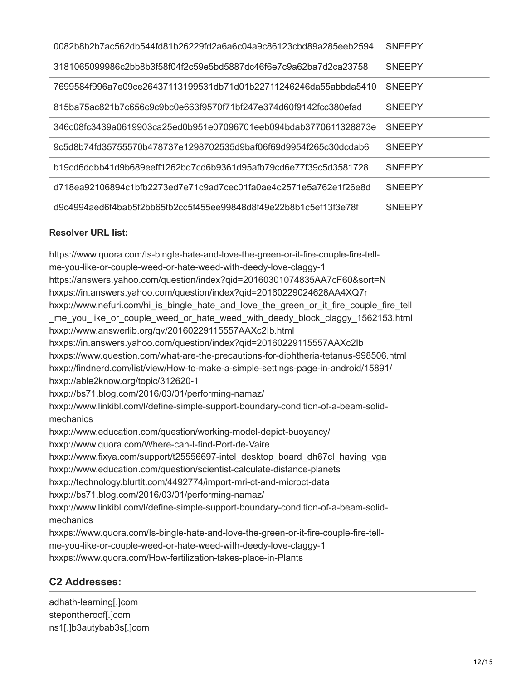| 0082b8b2b7ac562db544fd81b26229fd2a6a6c04a9c86123cbd89a285eeb2594  | <b>SNEEPY</b> |
|-------------------------------------------------------------------|---------------|
| 3181065099986c2bb8b3f58f04f2c59e5bd5887dc46f6e7c9a62ba7d2ca23758  | <b>SNEEPY</b> |
| 7699584f996a7e09ce26437113199531db71d01b22711246246da55abbda5410  | <b>SNEEPY</b> |
| 815ba75ac821b7c656c9c9bc0e663f9570f71bf247e374d60f9142fcc380efad  | <b>SNEEPY</b> |
| 346c08fc3439a0619903ca25ed0b951e07096701eeb094bdab3770611328873e  | <b>SNEEPY</b> |
| .9c5d8b74fd35755570b478737e1298702535d9baf06f69d9954f265c30dcdab6 | <b>SNEEPY</b> |
| b19cd6ddbb41d9b689eeff1262bd7cd6b9361d95afb79cd6e77f39c5d3581728  | <b>SNEEPY</b> |
| d718ea92106894c1bfb2273ed7e71c9ad7cec01fa0ae4c2571e5a762e1f26e8d  | <b>SNEEPY</b> |
| d9c4994aed6f4bab5f2bb65fb2cc5f455ee99848d8f49e22b8b1c5ef13f3e78f  | <b>SNEEPY</b> |

### **Resolver URL list:**

https://www.quora.com/Is-bingle-hate-and-love-the-green-or-it-fire-couple-fire-tellme-you-like-or-couple-weed-or-hate-weed-with-deedy-love-claggy-1 https://answers.yahoo.com/question/index?qid=20160301074835AA7cF60&sort=N hxxps://in.answers.yahoo.com/question/index?qid=20160229024628AA4XQ7r hxxp://www.nefuri.com/hi\_is\_bingle\_hate\_and\_love\_the\_green\_or\_it\_fire\_couple\_fire\_tell me you like or couple weed or hate weed with deedy block claggy 1562153.html hxxp://www.answerlib.org/qv/20160229115557AAXc2Ib.html hxxps://in.answers.yahoo.com/question/index?qid=20160229115557AAXc2Ib hxxps://www.question.com/what-are-the-precautions-for-diphtheria-tetanus-998506.html hxxp://findnerd.com/list/view/How-to-make-a-simple-settings-page-in-android/15891/ hxxp://able2know.org/topic/312620-1 hxxp://bs71.blog.com/2016/03/01/performing-namaz/ hxxp://www.linkibl.com/l/define-simple-support-boundary-condition-of-a-beam-solidmechanics hxxp://www.education.com/question/working-model-depict-buoyancy/ hxxp://www.quora.com/Where-can-I-find-Port-de-Vaire hxxp://www.fixya.com/support/t25556697-intel\_desktop\_board\_dh67cl\_having\_vga hxxp://www.education.com/question/scientist-calculate-distance-planets hxxp://technology.blurtit.com/4492774/import-mri-ct-and-microct-data hxxp://bs71.blog.com/2016/03/01/performing-namaz/ hxxp://www.linkibl.com/l/define-simple-support-boundary-condition-of-a-beam-solidmechanics hxxps://www.quora.com/Is-bingle-hate-and-love-the-green-or-it-fire-couple-fire-tellme-you-like-or-couple-weed-or-hate-weed-with-deedy-love-claggy-1

hxxps://www.quora.com/How-fertilization-takes-place-in-Plants

### **C2 Addresses:**

adhath-learning[.]com stepontheroof[.]com ns1[.]b3autybab3s[.]com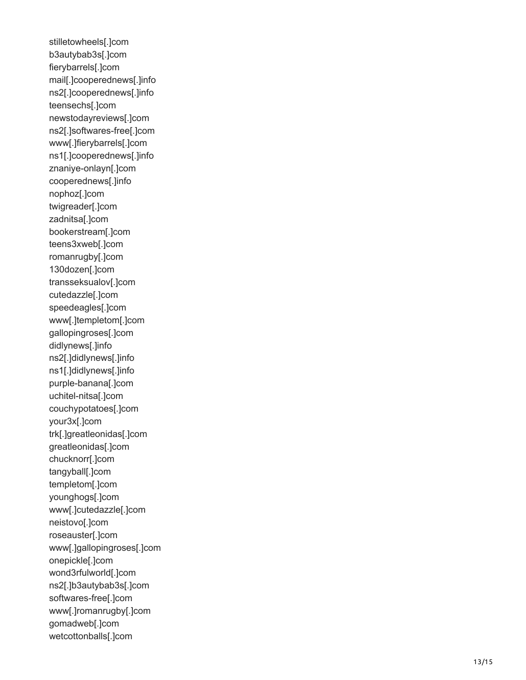stilletowheels[.]com b3autybab3s[.]com fierybarrels[.]com mail[.]cooperednews[.]info ns2[.]cooperednews[.]info teensechs[.]com newstodayreviews[.]com ns2[.]softwares-free[.]com www[.]fierybarrels[.]com ns1[.]cooperednews[.]info znaniye-onlayn[.]com cooperednews[.]info nophoz[.]com twigreader[.]com zadnitsa[.]com bookerstream[.]com teens3xweb[.]com romanrugby[.]com 130dozen[.]com transseksualov[.]com cutedazzle[.]com speedeagles[.]com www[.]templetom[.]com gallopingroses[.]com didlynews[.]info ns2[.]didlynews[.]info ns1[.]didlynews[.]info purple-banana[.]com uchitel-nitsa[.]com couchypotatoes[.]com your3x[.]com trk[.]greatleonidas[.]com greatleonidas[.]com chucknorr[.]com tangyball[.]com templetom[.]com younghogs[.]com www[.]cutedazzle[.]com neistovo[.]com roseauster[.]com www[.]gallopingroses[.]com onepickle[.]com wond3rfulworld[.]com ns2[.]b3autybab3s[.]com softwares-free[.]com www[.]romanrugby[.]com gomadweb[.]com wetcottonballs[.]com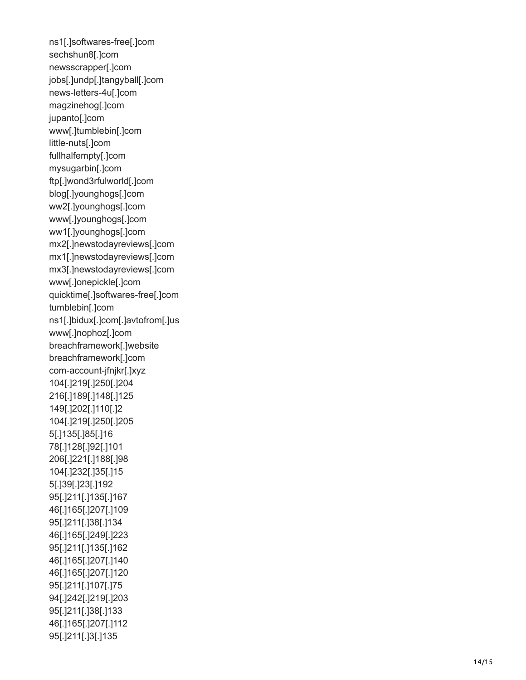ns1[.]softwares-free[.]com sechshun8[.]com newsscrapper[.]com jobs[.]undp[.]tangyball[.]com news-letters-4u[.]com magzinehog[.]com jupanto[.]com www[.]tumblebin[.]com little-nuts[.]com fullhalfempty[.]com mysugarbin[.]com ftp[.]wond3rfulworld[.]com blog[.]younghogs[.]com ww2[.]younghogs[.]com www[.]younghogs[.]com ww1[.]younghogs[.]com mx2[.]newstodayreviews[.]com mx1[.]newstodayreviews[.]com mx3[.]newstodayreviews[.]com www[.]onepickle[.]com quicktime[.]softwares-free[.]com tumblebin[.]com ns1[.]bidux[.]com[.]avtofrom[.]us www[.]nophoz[.]com breachframework[.]website breachframework[.]com com-account-jfnjkr[.]xyz 104[.]219[.]250[.]204 216[.]189[.]148[.]125 149[.]202[.]110[.]2 104[.]219[.]250[.]205 5[.]135[.]85[.]16 78[.]128[.]92[.]101 206[.]221[.]188[.]98 104[.]232[.]35[.]15 5[.]39[.]23[.]192 95[.]211[.]135[.]167 46[.]165[.]207[.]109 95[.]211[.]38[.]134 46[.]165[.]249[.]223 95[.]211[.]135[.]162 46[.]165[.]207[.]140 46[.]165[.]207[.]120 95[.]211[.]107[.]75 94[.]242[.]219[.]203 95[.]211[.]38[.]133 46[.]165[.]207[.]112 95[.]211[.]3[.]135